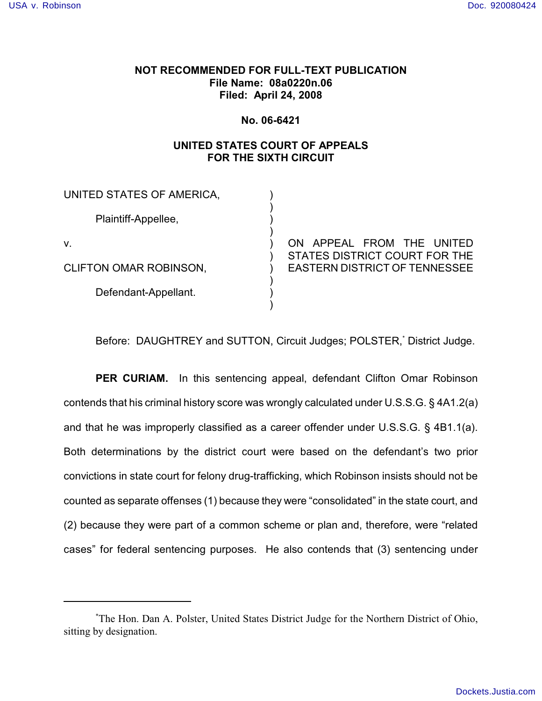## **NOT RECOMMENDED FOR FULL-TEXT PUBLICATION File Name: 08a0220n.06 Filed: April 24, 2008**

### **No. 06-6421**

# **UNITED STATES COURT OF APPEALS FOR THE SIXTH CIRCUIT**

| UNITED STATES OF AMERICA,     |                                                                       |
|-------------------------------|-----------------------------------------------------------------------|
| Plaintiff-Appellee,           |                                                                       |
| v.                            | ON APPEAL FROM THE UNITED                                             |
| <b>CLIFTON OMAR ROBINSON,</b> | STATES DISTRICT COURT FOR THE<br><b>EASTERN DISTRICT OF TENNESSEE</b> |
| Defendant-Appellant.          |                                                                       |
|                               |                                                                       |

Before: DAUGHTREY and SUTTON, Circuit Judges; POLSTER, District Judge.

**PER CURIAM.** In this sentencing appeal, defendant Clifton Omar Robinson contends that his criminal history score was wrongly calculated under U.S.S.G. § 4A1.2(a) and that he was improperly classified as a career offender under U.S.S.G. § 4B1.1(a). Both determinations by the district court were based on the defendant's two prior convictions in state court for felony drug-trafficking, which Robinson insists should not be counted as separate offenses (1) because they were "consolidated" in the state court, and (2) because they were part of a common scheme or plan and, therefore, were "related cases" for federal sentencing purposes. He also contends that (3) sentencing under

The Hon. Dan A. Polster, United States District Judge for the Northern District of Ohio, \* sitting by designation.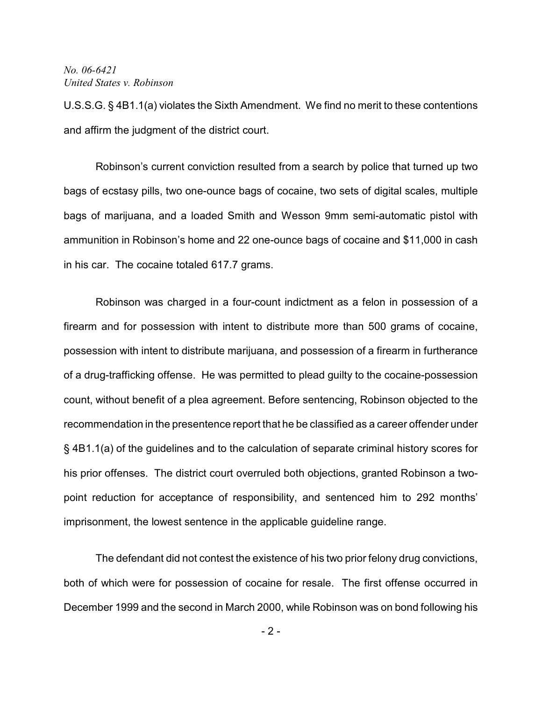U.S.S.G. § 4B1.1(a) violates the Sixth Amendment. We find no merit to these contentions and affirm the judgment of the district court.

Robinson's current conviction resulted from a search by police that turned up two bags of ecstasy pills, two one-ounce bags of cocaine, two sets of digital scales, multiple bags of marijuana, and a loaded Smith and Wesson 9mm semi-automatic pistol with ammunition in Robinson's home and 22 one-ounce bags of cocaine and \$11,000 in cash in his car. The cocaine totaled 617.7 grams.

Robinson was charged in a four-count indictment as a felon in possession of a firearm and for possession with intent to distribute more than 500 grams of cocaine, possession with intent to distribute marijuana, and possession of a firearm in furtherance of a drug-trafficking offense. He was permitted to plead guilty to the cocaine-possession count, without benefit of a plea agreement. Before sentencing, Robinson objected to the recommendation in the presentence report that he be classified as a career offender under § 4B1.1(a) of the guidelines and to the calculation of separate criminal history scores for his prior offenses. The district court overruled both objections, granted Robinson a twopoint reduction for acceptance of responsibility, and sentenced him to 292 months' imprisonment, the lowest sentence in the applicable guideline range.

The defendant did not contest the existence of his two prior felony drug convictions, both of which were for possession of cocaine for resale. The first offense occurred in December 1999 and the second in March 2000, while Robinson was on bond following his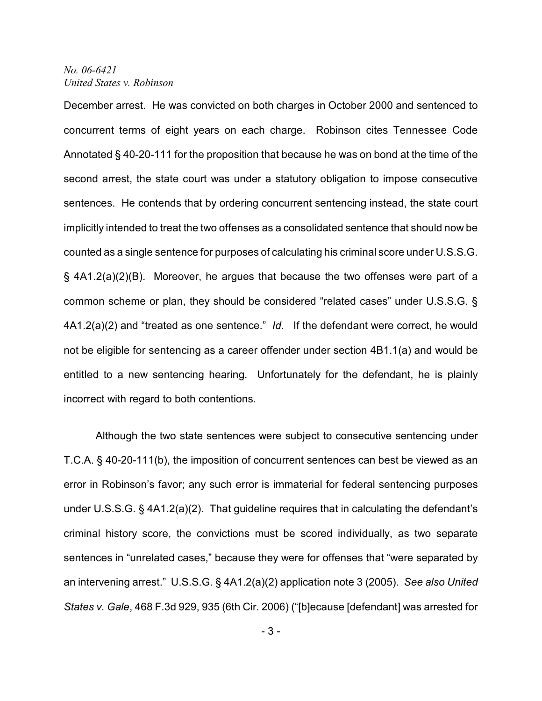December arrest. He was convicted on both charges in October 2000 and sentenced to concurrent terms of eight years on each charge. Robinson cites Tennessee Code Annotated § 40-20-111 for the proposition that because he was on bond at the time of the second arrest, the state court was under a statutory obligation to impose consecutive sentences. He contends that by ordering concurrent sentencing instead, the state court implicitly intended to treat the two offenses as a consolidated sentence that should now be counted as a single sentence for purposes of calculating his criminal score under U.S.S.G. § 4A1.2(a)(2)(B). Moreover, he argues that because the two offenses were part of a common scheme or plan, they should be considered "related cases" under U.S.S.G. § 4A1.2(a)(2) and "treated as one sentence." *Id.* If the defendant were correct, he would not be eligible for sentencing as a career offender under section 4B1.1(a) and would be entitled to a new sentencing hearing. Unfortunately for the defendant, he is plainly incorrect with regard to both contentions.

Although the two state sentences were subject to consecutive sentencing under T.C.A. § 40-20-111(b), the imposition of concurrent sentences can best be viewed as an error in Robinson's favor; any such error is immaterial for federal sentencing purposes under U.S.S.G. § 4A1.2(a)(2). That guideline requires that in calculating the defendant's criminal history score, the convictions must be scored individually, as two separate sentences in "unrelated cases," because they were for offenses that "were separated by an intervening arrest." U.S.S.G. § 4A1.2(a)(2) application note 3 (2005). *See also United States v. Gale*, 468 F.3d 929, 935 (6th Cir. 2006) ("[b]ecause [defendant] was arrested for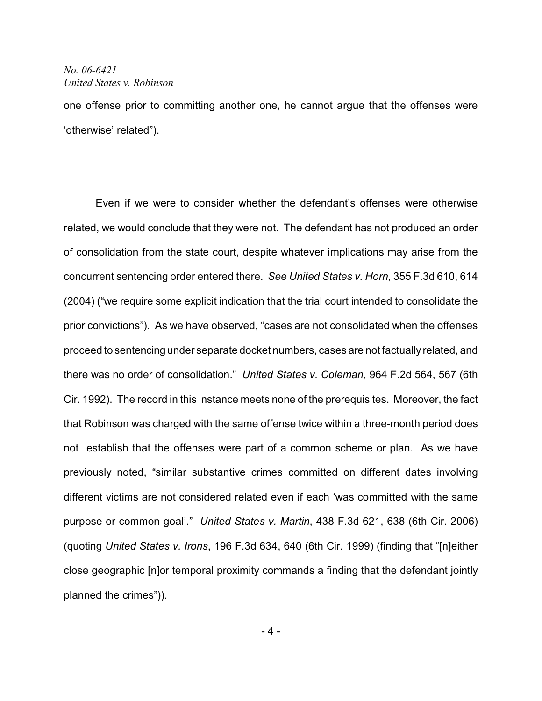one offense prior to committing another one, he cannot argue that the offenses were 'otherwise' related").

Even if we were to consider whether the defendant's offenses were otherwise related, we would conclude that they were not. The defendant has not produced an order of consolidation from the state court, despite whatever implications may arise from the concurrent sentencing order entered there. *See United States v. Horn*, 355 F.3d 610, 614 (2004) ("we require some explicit indication that the trial court intended to consolidate the prior convictions"). As we have observed, "cases are not consolidated when the offenses proceed to sentencing under separate docket numbers, cases are not factually related, and there was no order of consolidation." *United States v. Coleman*, 964 F.2d 564, 567 (6th Cir. 1992). The record in this instance meets none of the prerequisites. Moreover, the fact that Robinson was charged with the same offense twice within a three-month period does not establish that the offenses were part of a common scheme or plan. As we have previously noted, "similar substantive crimes committed on different dates involving different victims are not considered related even if each 'was committed with the same purpose or common goal'." *United States v. Martin*, 438 F.3d 621, 638 (6th Cir. 2006) (quoting *United States v. Irons*, 196 F.3d 634, 640 (6th Cir. 1999) (finding that "[n]either close geographic [n]or temporal proximity commands a finding that the defendant jointly planned the crimes")).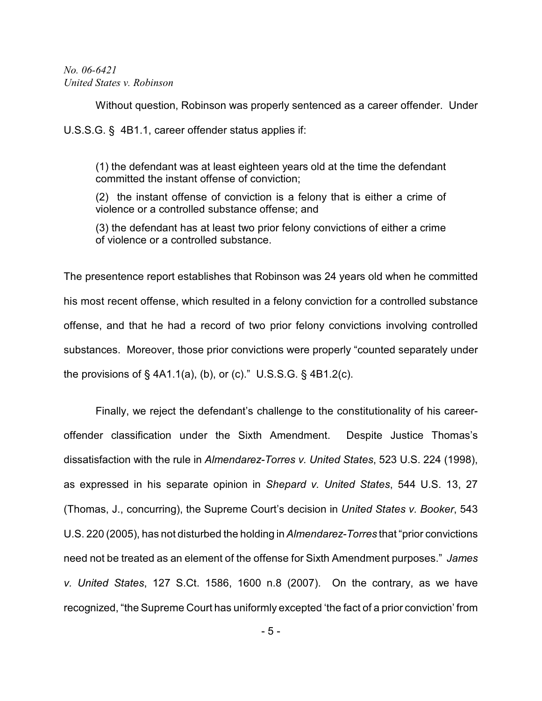Without question, Robinson was properly sentenced as a career offender. Under

U.S.S.G. § 4B1.1, career offender status applies if:

(1) the defendant was at least eighteen years old at the time the defendant committed the instant offense of conviction;

(2) the instant offense of conviction is a felony that is either a crime of violence or a controlled substance offense; and

(3) the defendant has at least two prior felony convictions of either a crime of violence or a controlled substance.

The presentence report establishes that Robinson was 24 years old when he committed his most recent offense, which resulted in a felony conviction for a controlled substance offense, and that he had a record of two prior felony convictions involving controlled substances. Moreover, those prior convictions were properly "counted separately under the provisions of  $\S$  4A1.1(a), (b), or (c)." U.S.S.G.  $\S$  4B1.2(c).

Finally, we reject the defendant's challenge to the constitutionality of his careeroffender classification under the Sixth Amendment. Despite Justice Thomas's dissatisfaction with the rule in *Almendarez-Torres v. United States*, 523 U.S. 224 (1998), as expressed in his separate opinion in *Shepard v. United States*, 544 U.S. 13, 27 (Thomas, J., concurring), the Supreme Court's decision in *United States v. Booker*, 543 U.S. 220 (2005), has not disturbed the holding in *Almendarez-Torres* that "prior convictions need not be treated as an element of the offense for Sixth Amendment purposes." *James v. United States*, 127 S.Ct. 1586, 1600 n.8 (2007). On the contrary, as we have recognized, "the Supreme Court has uniformly excepted 'the fact of a prior conviction' from